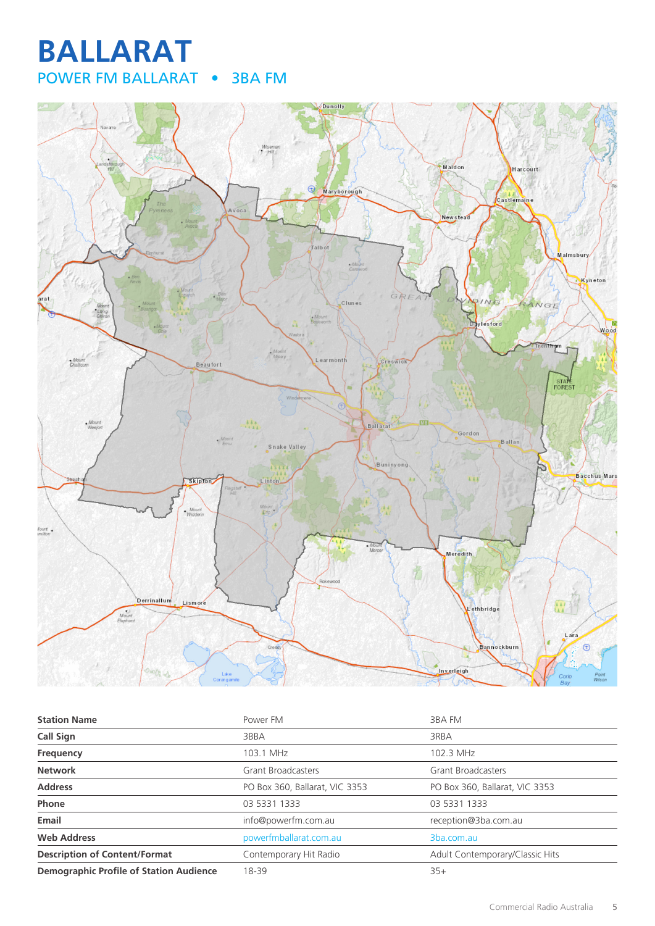# **BALLARAT** POWER FM BALLARAT • 3BA FM



| <b>Station Name</b>                            | Power FM                       | 3BA FM                          |
|------------------------------------------------|--------------------------------|---------------------------------|
| Call Sign                                      | 3BBA                           | 3RBA                            |
| <b>Frequency</b>                               | 103.1 MHz                      | 102.3 MHz                       |
| <b>Network</b>                                 | <b>Grant Broadcasters</b>      | <b>Grant Broadcasters</b>       |
| <b>Address</b>                                 | PO Box 360, Ballarat, VIC 3353 | PO Box 360, Ballarat, VIC 3353  |
| Phone                                          | 03 5331 1333                   | 03 5331 1333                    |
| Email                                          | info@powerfm.com.au            | reception@3ba.com.au            |
| <b>Web Address</b>                             | powerfmballarat.com.au         | 3ba.com.au                      |
| <b>Description of Content/Format</b>           | Contemporary Hit Radio         | Adult Contemporary/Classic Hits |
| <b>Demographic Profile of Station Audience</b> | 18-39                          | $35+$                           |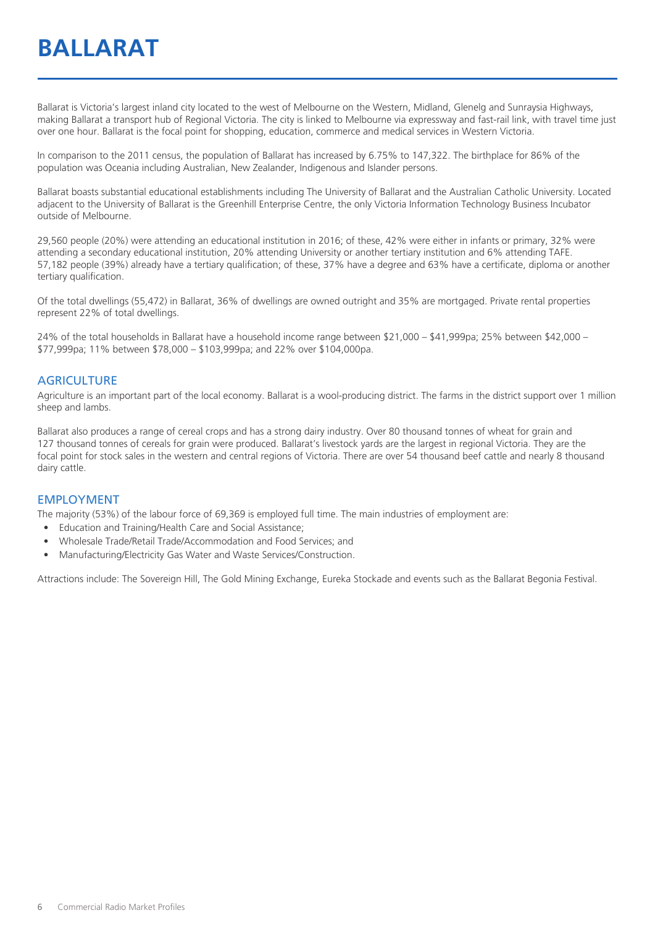Ballarat is Victoria's largest inland city located to the west of Melbourne on the Western, Midland, Glenelg and Sunraysia Highways, making Ballarat a transport hub of Regional Victoria. The city is linked to Melbourne via expressway and fast-rail link, with travel time just over one hour. Ballarat is the focal point for shopping, education, commerce and medical services in Western Victoria.

In comparison to the 2011 census, the population of Ballarat has increased by 6.75% to 147,322. The birthplace for 86% of the population was Oceania including Australian, New Zealander, Indigenous and Islander persons.

Ballarat boasts substantial educational establishments including The University of Ballarat and the Australian Catholic University. Located adjacent to the University of Ballarat is the Greenhill Enterprise Centre, the only Victoria Information Technology Business Incubator outside of Melbourne.

29,560 people (20%) were attending an educational institution in 2016; of these, 42% were either in infants or primary, 32% were attending a secondary educational institution, 20% attending University or another tertiary institution and 6% attending TAFE. 57,182 people (39%) already have a tertiary qualification; of these, 37% have a degree and 63% have a certificate, diploma or another tertiary qualification.

Of the total dwellings (55,472) in Ballarat, 36% of dwellings are owned outright and 35% are mortgaged. Private rental properties represent 22% of total dwellings.

24% of the total households in Ballarat have a household income range between \$21,000 – \$41,999pa; 25% between \$42,000 – \$77,999pa; 11% between \$78,000 – \$103,999pa; and 22% over \$104,000pa.

#### **AGRICULTURE**

Agriculture is an important part of the local economy. Ballarat is a wool-producing district. The farms in the district support over 1 million sheep and lambs.

Ballarat also produces a range of cereal crops and has a strong dairy industry. Over 80 thousand tonnes of wheat for grain and 127 thousand tonnes of cereals for grain were produced. Ballarat's livestock yards are the largest in regional Victoria. They are the focal point for stock sales in the western and central regions of Victoria. There are over 54 thousand beef cattle and nearly 8 thousand dairy cattle.

#### EMPLOYMENT

The majority (53%) of the labour force of 69,369 is employed full time. The main industries of employment are:

- Education and Training/Health Care and Social Assistance;
- Wholesale Trade/Retail Trade/Accommodation and Food Services; and
- Manufacturing/Electricity Gas Water and Waste Services/Construction.

Attractions include: The Sovereign Hill, The Gold Mining Exchange, Eureka Stockade and events such as the Ballarat Begonia Festival.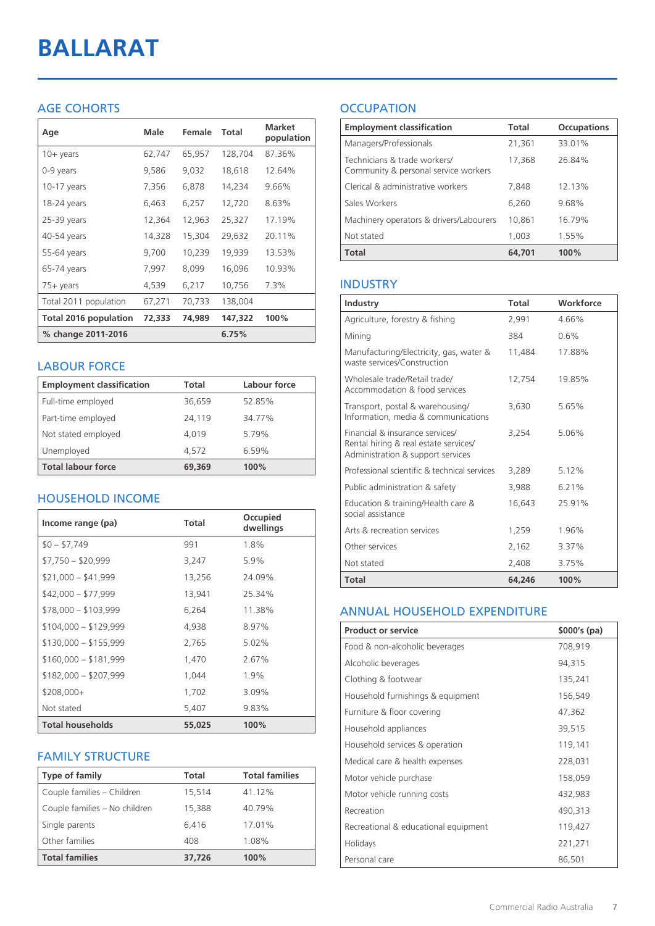# **BALLARAT**

#### AGE COHORTS

| Age                          | Male   | Female | Total   | <b>Market</b><br>population |
|------------------------------|--------|--------|---------|-----------------------------|
| $10 +$ years                 | 62,747 | 65,957 | 128,704 | 87.36%                      |
| 0-9 years                    | 9,586  | 9,032  | 18,618  | 12.64%                      |
| $10-17$ years                | 7,356  | 6,878  | 14,234  | 9.66%                       |
| 18-24 years                  | 6,463  | 6,257  | 12,720  | 8.63%                       |
| 25-39 years                  | 12,364 | 12,963 | 25,327  | 17.19%                      |
| 40-54 years                  | 14,328 | 15,304 | 29,632  | 20.11%                      |
| 55-64 years                  | 9,700  | 10,239 | 19,939  | 13.53%                      |
| 65-74 years                  | 7,997  | 8,099  | 16,096  | 10.93%                      |
| 75+ years                    | 4,539  | 6,217  | 10,756  | 7.3%                        |
| Total 2011 population        | 67,271 | 70,733 | 138,004 |                             |
| <b>Total 2016 population</b> | 72,333 | 74,989 | 147,322 | 100%                        |
| % change 2011-2016           |        |        | 6.75%   |                             |

#### LABOUR FORCE

| <b>Employment classification</b> | Total  | Labour force |
|----------------------------------|--------|--------------|
| Full-time employed               | 36,659 | 52.85%       |
| Part-time employed               | 24.119 | 34.77%       |
| Not stated employed              | 4.019  | 5.79%        |
| Unemployed                       | 4.572  | 6.59%        |
| <b>Total labour force</b>        | 69,369 | 100%         |

#### HOUSEHOLD INCOME

| Income range (pa)       | Total  | Occupied<br>dwellings |
|-------------------------|--------|-----------------------|
| $$0 - $7,749$           | 991    | 1.8%                  |
| $$7,750 - $20,999$      | 3,247  | 5.9%                  |
| $$21,000 - $41,999$     | 13,256 | 24.09%                |
| $$42,000 - $77,999$     | 13,941 | 25.34%                |
| $$78,000 - $103,999$    | 6,264  | 11.38%                |
| $$104,000 - $129,999$   | 4,938  | 8.97%                 |
| $$130,000 - $155,999$   | 2,765  | $5.02\%$              |
| $$160,000 - $181,999$   | 1,470  | 2.67%                 |
| $$182,000 - $207,999$   | 1,044  | 1.9%                  |
| $$208,000+$             | 1,702  | 3.09%                 |
| Not stated              | 5,407  | 9.83%                 |
| <b>Total households</b> | 55,025 | 100%                  |

#### FAMILY STRUCTURE

| <b>Type of family</b>         | <b>Total</b> | <b>Total families</b> |
|-------------------------------|--------------|-----------------------|
| Couple families - Children    | 15,514       | 41.12%                |
| Couple families - No children | 15,388       | 40.79%                |
| Single parents                | 6.416        | 17.01%                |
| Other families                | 408          | 1.08%                 |
| <b>Total families</b>         | 37,726       | 100%                  |

### **OCCUPATION**

| <b>Employment classification</b>                                     | Total  | <b>Occupations</b> |
|----------------------------------------------------------------------|--------|--------------------|
| Managers/Professionals                                               | 21,361 | 33.01%             |
| Technicians & trade workers/<br>Community & personal service workers | 17,368 | 26.84%             |
| Clerical & administrative workers                                    | 7.848  | 12.13%             |
| Sales Workers                                                        | 6,260  | 9.68%              |
| Machinery operators & drivers/Labourers                              | 10,861 | 16.79%             |
| Not stated                                                           | 1,003  | 1.55%              |
| <b>Total</b>                                                         | 64,701 | 100%               |

#### INDUSTRY

| Industry                                                                                                      | Total  | Workforce |
|---------------------------------------------------------------------------------------------------------------|--------|-----------|
| Agriculture, forestry & fishing                                                                               | 2,991  | 4.66%     |
| Mining                                                                                                        | 384    | 0.6%      |
| Manufacturing/Electricity, gas, water &<br>waste services/Construction                                        | 11,484 | 17.88%    |
| Wholesale trade/Retail trade/<br>Accommodation & food services                                                | 12,754 | 19.85%    |
| Transport, postal & warehousing/<br>Information, media & communications                                       | 3,630  | 5.65%     |
| Financial & insurance services/<br>Rental hiring & real estate services/<br>Administration & support services | 3,254  | 5.06%     |
| Professional scientific & technical services                                                                  | 3,289  | 5.12%     |
| Public administration & safety                                                                                | 3,988  | 6.21%     |
| Education & training/Health care &<br>social assistance                                                       | 16,643 | 25.91%    |
| Arts & recreation services                                                                                    | 1,259  | 1.96%     |
| Other services                                                                                                | 2,162  | 3.37%     |
| Not stated                                                                                                    | 2,408  | 3.75%     |
| Total                                                                                                         | 64,246 | 100%      |

#### ANNUAL HOUSEHOLD EXPENDITURE

| <b>Product or service</b>            | $$000's$ (pa) |
|--------------------------------------|---------------|
| Food & non-alcoholic beverages       | 708,919       |
| Alcoholic beverages                  | 94,315        |
| Clothing & footwear                  | 135,241       |
| Household furnishings & equipment    | 156,549       |
| Furniture & floor covering           | 47,362        |
| Household appliances                 | 39,515        |
| Household services & operation       | 119,141       |
| Medical care & health expenses       | 228,031       |
| Motor vehicle purchase               | 158,059       |
| Motor vehicle running costs          | 432,983       |
| Recreation                           | 490,313       |
| Recreational & educational equipment | 119,427       |
| Holidays                             | 221,271       |
| Personal care                        | 86,501        |